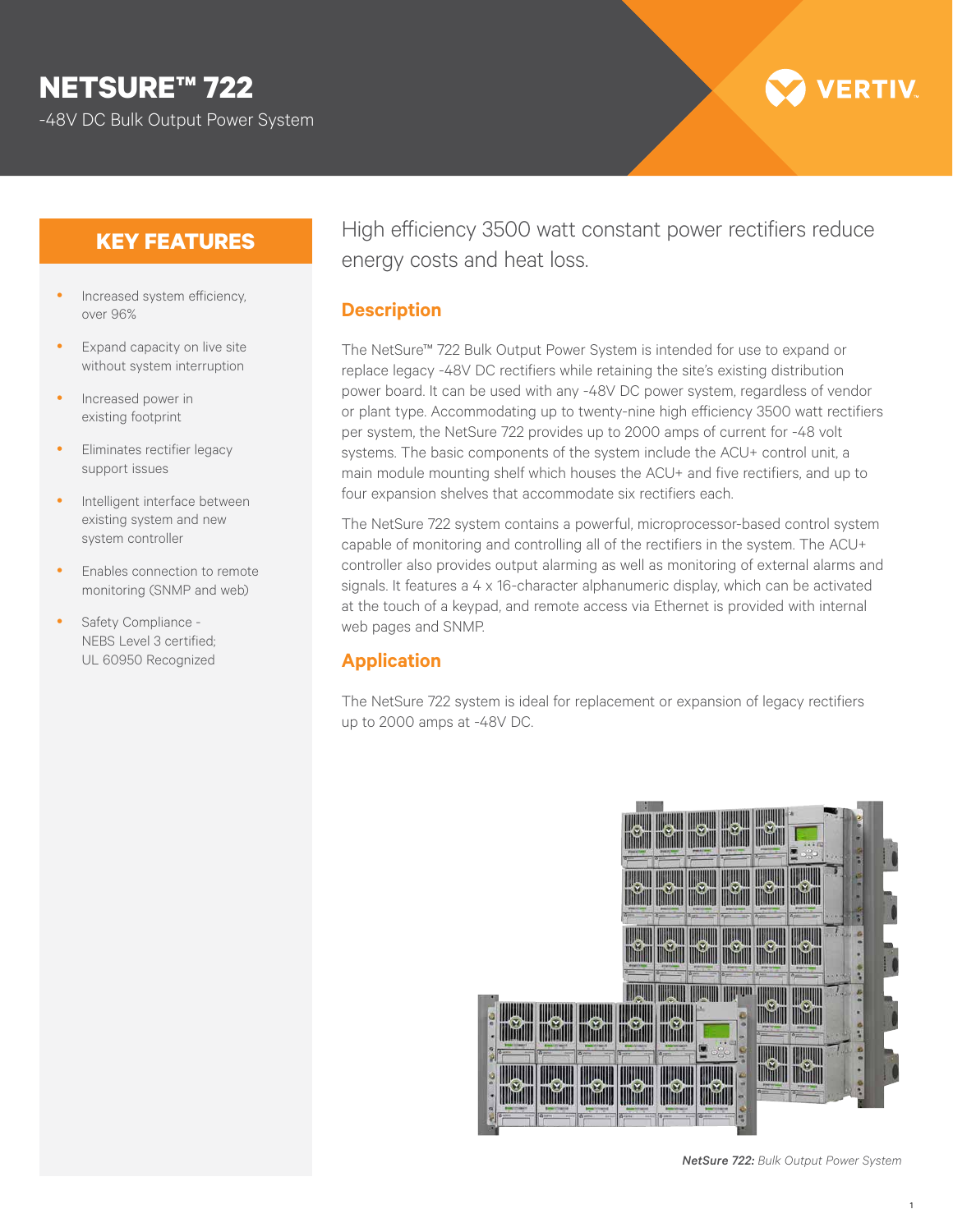# **NETSURE™ 722**

-48V DC Bulk Output Power System

# **VERTIV**

# **KEY FEATURES**

- Increased system efficiency, over 96%
- Expand capacity on live site without system interruption
- Increased power in existing footprint
- Eliminates rectifier legacy support issues
- Intelligent interface between existing system and new system controller
- Enables connection to remote monitoring (SNMP and web)
- Safety Compliance -NEBS Level 3 certified; UL 60950 Recognized

High efficiency 3500 watt constant power rectifiers reduce energy costs and heat loss.

#### **Description**

The NetSure™ 722 Bulk Output Power System is intended for use to expand or replace legacy -48V DC rectifiers while retaining the site's existing distribution power board. It can be used with any -48V DC power system, regardless of vendor or plant type. Accommodating up to twenty-nine high efficiency 3500 watt rectifiers per system, the NetSure 722 provides up to 2000 amps of current for -48 volt systems. The basic components of the system include the ACU+ control unit, a main module mounting shelf which houses the ACU+ and five rectifiers, and up to four expansion shelves that accommodate six rectifiers each.

The NetSure 722 system contains a powerful, microprocessor-based control system capable of monitoring and controlling all of the rectifiers in the system. The ACU+ controller also provides output alarming as well as monitoring of external alarms and signals. It features a 4 x 16-character alphanumeric display, which can be activated at the touch of a keypad, and remote access via Ethernet is provided with internal web pages and SNMP.

# **Application**

The NetSure 722 system is ideal for replacement or expansion of legacy rectifiers up to 2000 amps at -48V DC.



*NetSure 722: Bulk Output Power System*